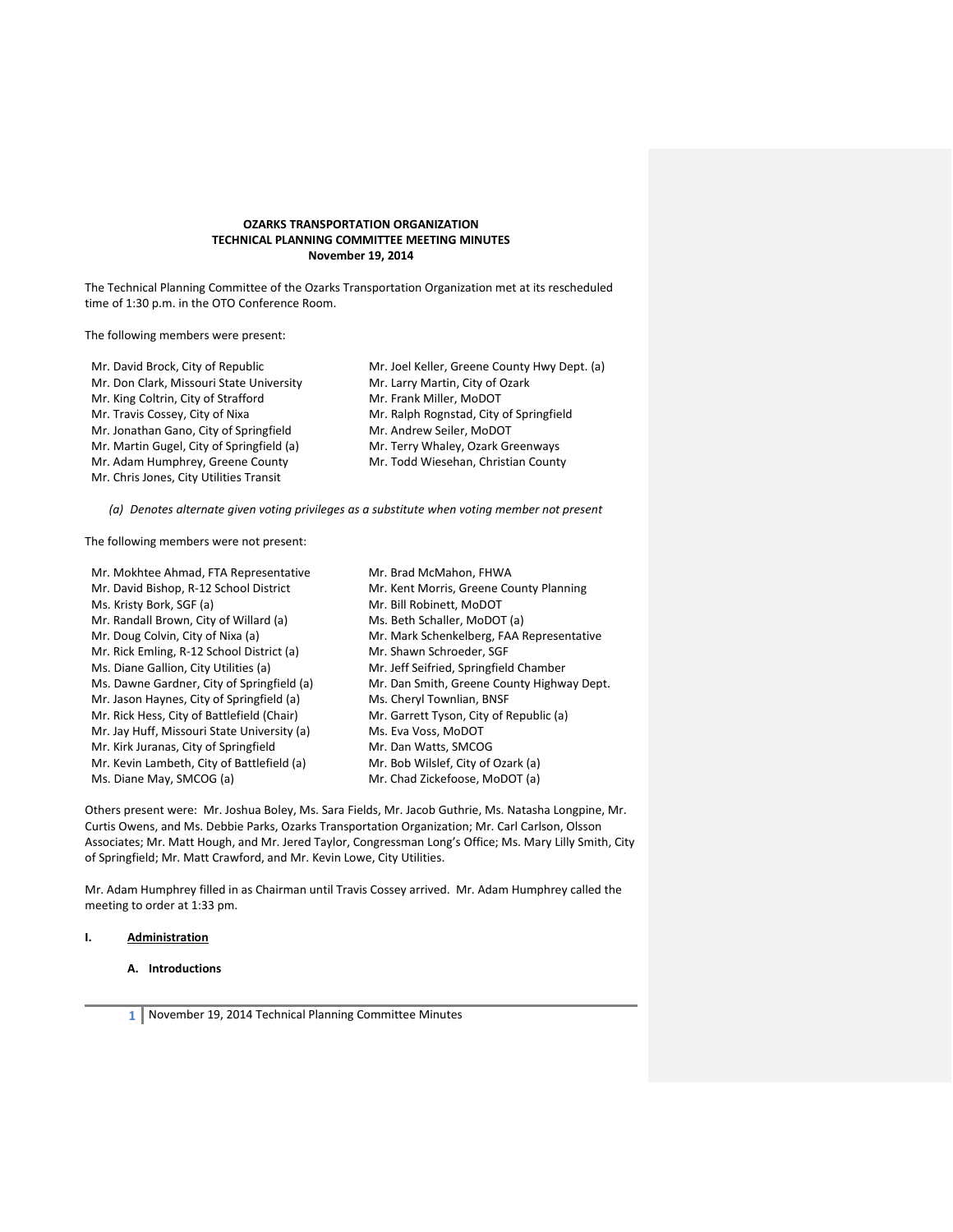## **OZARKS TRANSPORTATION ORGANIZATION TECHNICAL PLANNING COMMITTEE MEETING MINUTES November 19, 2014**

The Technical Planning Committee of the Ozarks Transportation Organization met at its rescheduled time of 1:30 p.m. in the OTO Conference Room.

The following members were present:

| Mr. David Brock, City of Republic         | Mr. Joel Keller, Greene County Hwy Dept. (a) |
|-------------------------------------------|----------------------------------------------|
| Mr. Don Clark, Missouri State University  | Mr. Larry Martin, City of Ozark              |
| Mr. King Coltrin, City of Strafford       | Mr. Frank Miller, MoDOT                      |
| Mr. Travis Cossey, City of Nixa           | Mr. Ralph Rognstad, City of Springfield      |
| Mr. Jonathan Gano, City of Springfield    | Mr. Andrew Seiler, MoDOT                     |
| Mr. Martin Gugel, City of Springfield (a) | Mr. Terry Whaley, Ozark Greenways            |
| Mr. Adam Humphrey, Greene County          | Mr. Todd Wiesehan, Christian County          |

*(a) Denotes alternate given voting privileges as a substitute when voting member not present*

The following members were not present:

Mr. Chris Jones, City Utilities Transit

| Mr. Mokhtee Ahmad, FTA Representative       | Mr. Brad McMahon, FHWA                     |
|---------------------------------------------|--------------------------------------------|
| Mr. David Bishop, R-12 School District      | Mr. Kent Morris, Greene County Planning    |
| Ms. Kristy Bork, SGF (a)                    | Mr. Bill Robinett, MoDOT                   |
| Mr. Randall Brown, City of Willard (a)      | Ms. Beth Schaller, MoDOT (a)               |
| Mr. Doug Colvin, City of Nixa (a)           | Mr. Mark Schenkelberg, FAA Representative  |
| Mr. Rick Emling, R-12 School District (a)   | Mr. Shawn Schroeder, SGF                   |
| Ms. Diane Gallion, City Utilities (a)       | Mr. Jeff Seifried, Springfield Chamber     |
| Ms. Dawne Gardner, City of Springfield (a)  | Mr. Dan Smith, Greene County Highway Dept. |
| Mr. Jason Haynes, City of Springfield (a)   | Ms. Cheryl Townlian, BNSF                  |
| Mr. Rick Hess, City of Battlefield (Chair)  | Mr. Garrett Tyson, City of Republic (a)    |
| Mr. Jay Huff, Missouri State University (a) | Ms. Eva Voss, MoDOT                        |
| Mr. Kirk Juranas, City of Springfield       | Mr. Dan Watts, SMCOG                       |
| Mr. Kevin Lambeth, City of Battlefield (a)  | Mr. Bob Wilslef, City of Ozark (a)         |
| Ms. Diane May, SMCOG (a)                    | Mr. Chad Zickefoose, MoDOT (a)             |

Others present were: Mr. Joshua Boley, Ms. Sara Fields, Mr. Jacob Guthrie, Ms. Natasha Longpine, Mr. Curtis Owens, and Ms. Debbie Parks, Ozarks Transportation Organization; Mr. Carl Carlson, Olsson Associates; Mr. Matt Hough, and Mr. Jered Taylor, Congressman Long's Office; Ms. Mary Lilly Smith, City of Springfield; Mr. Matt Crawford, and Mr. Kevin Lowe, City Utilities.

Mr. Adam Humphrey filled in as Chairman until Travis Cossey arrived. Mr. Adam Humphrey called the meeting to order at 1:33 pm.

## **I. Administration**

## **A. Introductions**

**1** November 19, 2014 Technical Planning Committee Minutes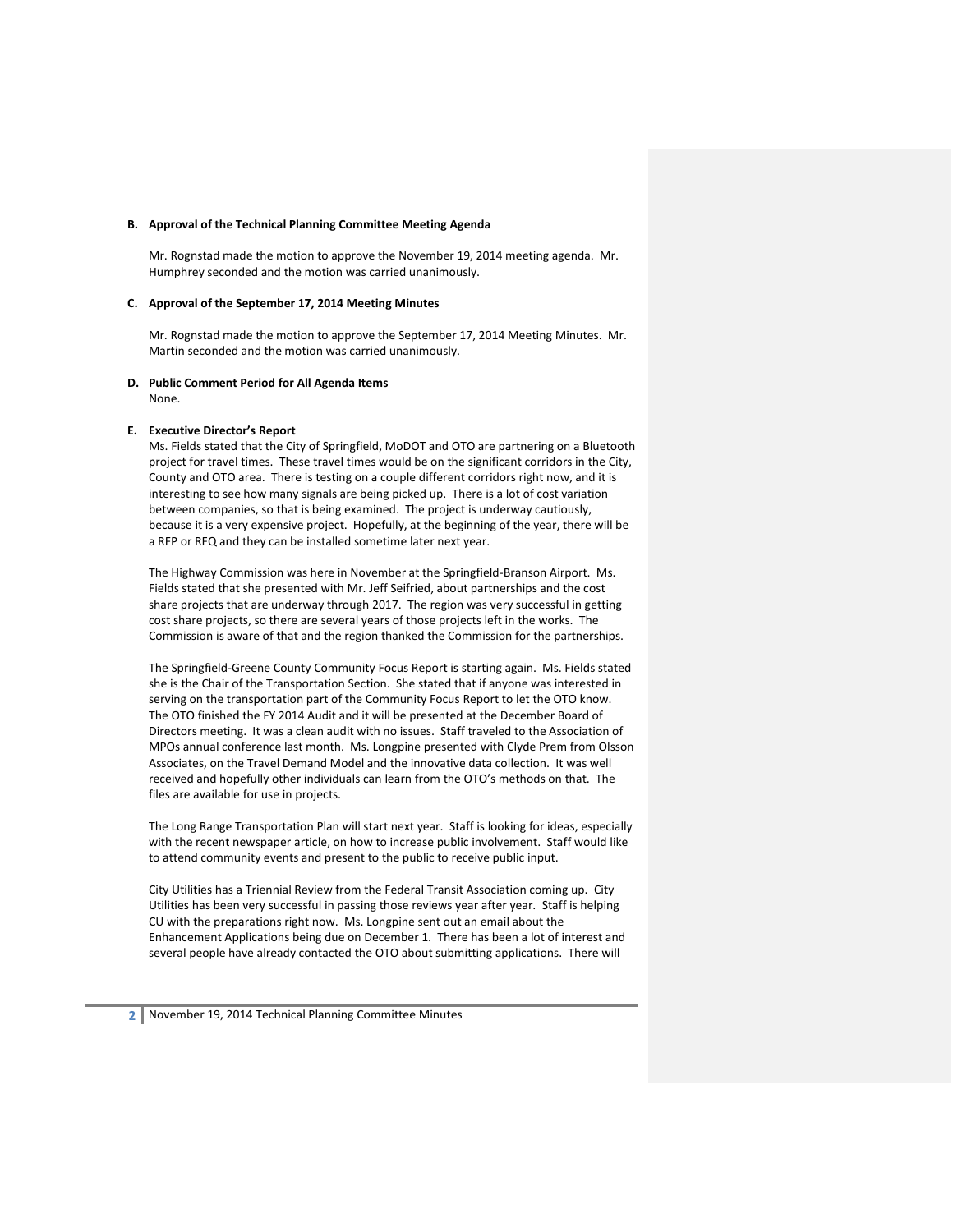#### **B. Approval of the Technical Planning Committee Meeting Agenda**

Mr. Rognstad made the motion to approve the November 19, 2014 meeting agenda. Mr. Humphrey seconded and the motion was carried unanimously.

## **C. Approval of the September 17, 2014 Meeting Minutes**

Mr. Rognstad made the motion to approve the September 17, 2014 Meeting Minutes. Mr. Martin seconded and the motion was carried unanimously.

# **D. Public Comment Period for All Agenda Items**

None.

#### **E. Executive Director's Report**

Ms. Fields stated that the City of Springfield, MoDOT and OTO are partnering on a Bluetooth project for travel times. These travel times would be on the significant corridors in the City, County and OTO area. There is testing on a couple different corridors right now, and it is interesting to see how many signals are being picked up. There is a lot of cost variation between companies, so that is being examined. The project is underway cautiously, because it is a very expensive project. Hopefully, at the beginning of the year, there will be a RFP or RFQ and they can be installed sometime later next year.

The Highway Commission was here in November at the Springfield-Branson Airport. Ms. Fields stated that she presented with Mr. Jeff Seifried, about partnerships and the cost share projects that are underway through 2017. The region was very successful in getting cost share projects, so there are several years of those projects left in the works. The Commission is aware of that and the region thanked the Commission for the partnerships.

The Springfield-Greene County Community Focus Report is starting again. Ms. Fields stated she is the Chair of the Transportation Section. She stated that if anyone was interested in serving on the transportation part of the Community Focus Report to let the OTO know. The OTO finished the FY 2014 Audit and it will be presented at the December Board of Directors meeting. It was a clean audit with no issues. Staff traveled to the Association of MPOs annual conference last month. Ms. Longpine presented with Clyde Prem from Olsson Associates, on the Travel Demand Model and the innovative data collection. It was well received and hopefully other individuals can learn from the OTO's methods on that. The files are available for use in projects.

The Long Range Transportation Plan will start next year. Staff is looking for ideas, especially with the recent newspaper article, on how to increase public involvement. Staff would like to attend community events and present to the public to receive public input.

City Utilities has a Triennial Review from the Federal Transit Association coming up. City Utilities has been very successful in passing those reviews year after year. Staff is helping CU with the preparations right now. Ms. Longpine sent out an email about the Enhancement Applications being due on December 1. There has been a lot of interest and several people have already contacted the OTO about submitting applications. There will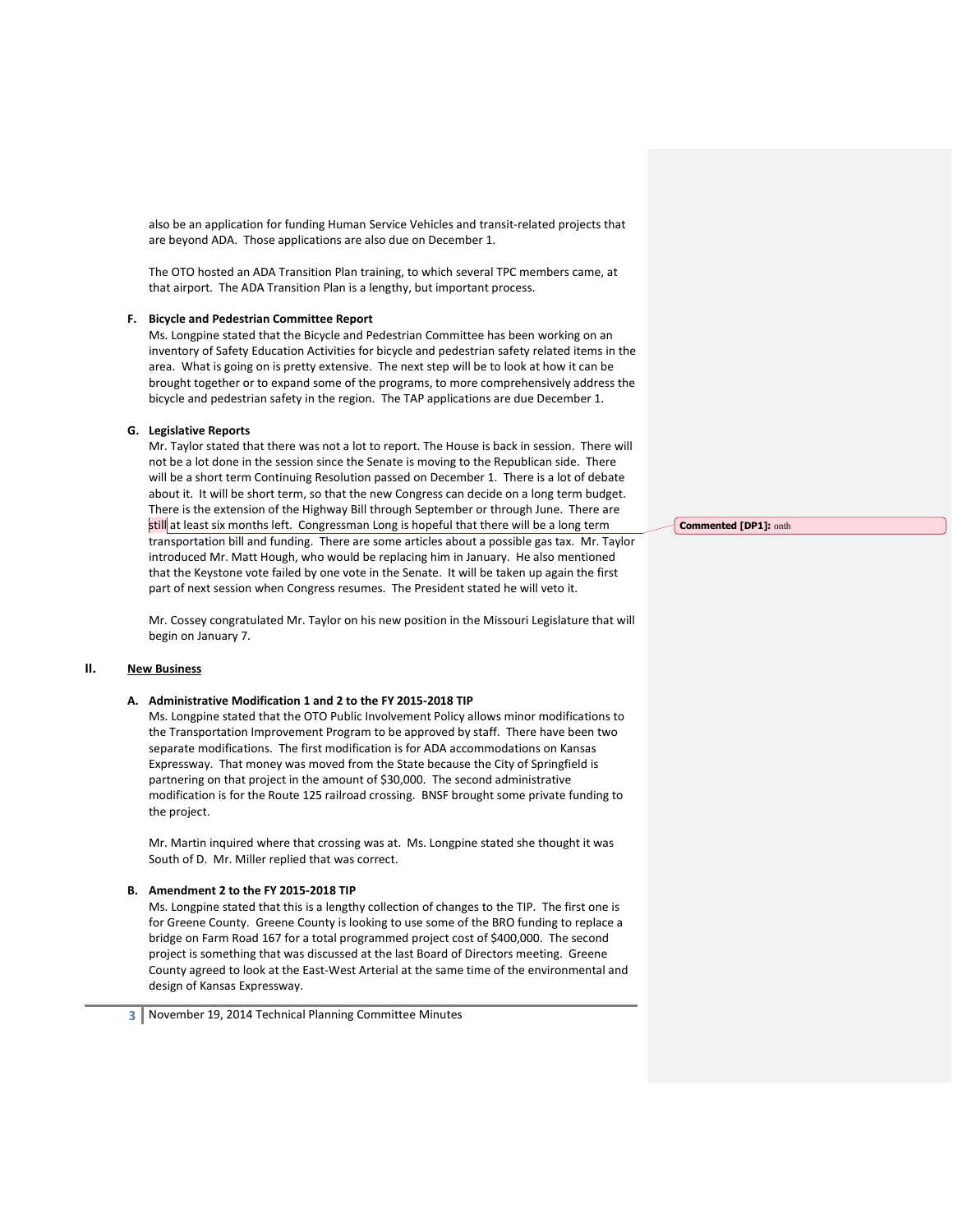also be an application for funding Human Service Vehicles and transit-related projects that are beyond ADA. Those applications are also due on December 1.

The OTO hosted an ADA Transition Plan training, to which several TPC members came, at that airport. The ADA Transition Plan is a lengthy, but important process.

#### **F. Bicycle and Pedestrian Committee Report**

Ms. Longpine stated that the Bicycle and Pedestrian Committee has been working on an inventory of Safety Education Activities for bicycle and pedestrian safety related items in the area. What is going on is pretty extensive. The next step will be to look at how it can be brought together or to expand some of the programs, to more comprehensively address the bicycle and pedestrian safety in the region. The TAP applications are due December 1.

#### **G. Legislative Reports**

Mr. Taylor stated that there was not a lot to report. The House is back in session. There will not be a lot done in the session since the Senate is moving to the Republican side. There will be a short term Continuing Resolution passed on December 1. There is a lot of debate about it. It will be short term, so that the new Congress can decide on a long term budget. There is the extension of the Highway Bill through September or through June. There are still at least six months left. Congressman Long is hopeful that there will be a long term transportation bill and funding. There are some articles about a possible gas tax. Mr. Taylor introduced Mr. Matt Hough, who would be replacing him in January. He also mentioned that the Keystone vote failed by one vote in the Senate. It will be taken up again the first part of next session when Congress resumes. The President stated he will veto it.

Mr. Cossey congratulated Mr. Taylor on his new position in the Missouri Legislature that will begin on January 7.

## **II. New Business**

## **A. Administrative Modification 1 and 2 to the FY 2015-2018 TIP**

Ms. Longpine stated that the OTO Public Involvement Policy allows minor modifications to the Transportation Improvement Program to be approved by staff. There have been two separate modifications. The first modification is for ADA accommodations on Kansas Expressway. That money was moved from the State because the City of Springfield is partnering on that project in the amount of \$30,000. The second administrative modification is for the Route 125 railroad crossing. BNSF brought some private funding to the project.

Mr. Martin inquired where that crossing was at. Ms. Longpine stated she thought it was South of D. Mr. Miller replied that was correct.

## **B. Amendment 2 to the FY 2015-2018 TIP**

Ms. Longpine stated that this is a lengthy collection of changes to the TIP. The first one is for Greene County. Greene County is looking to use some of the BRO funding to replace a bridge on Farm Road 167 for a total programmed project cost of \$400,000. The second project is something that was discussed at the last Board of Directors meeting. Greene County agreed to look at the East-West Arterial at the same time of the environmental and design of Kansas Expressway.

**Commented [DP1]:** onth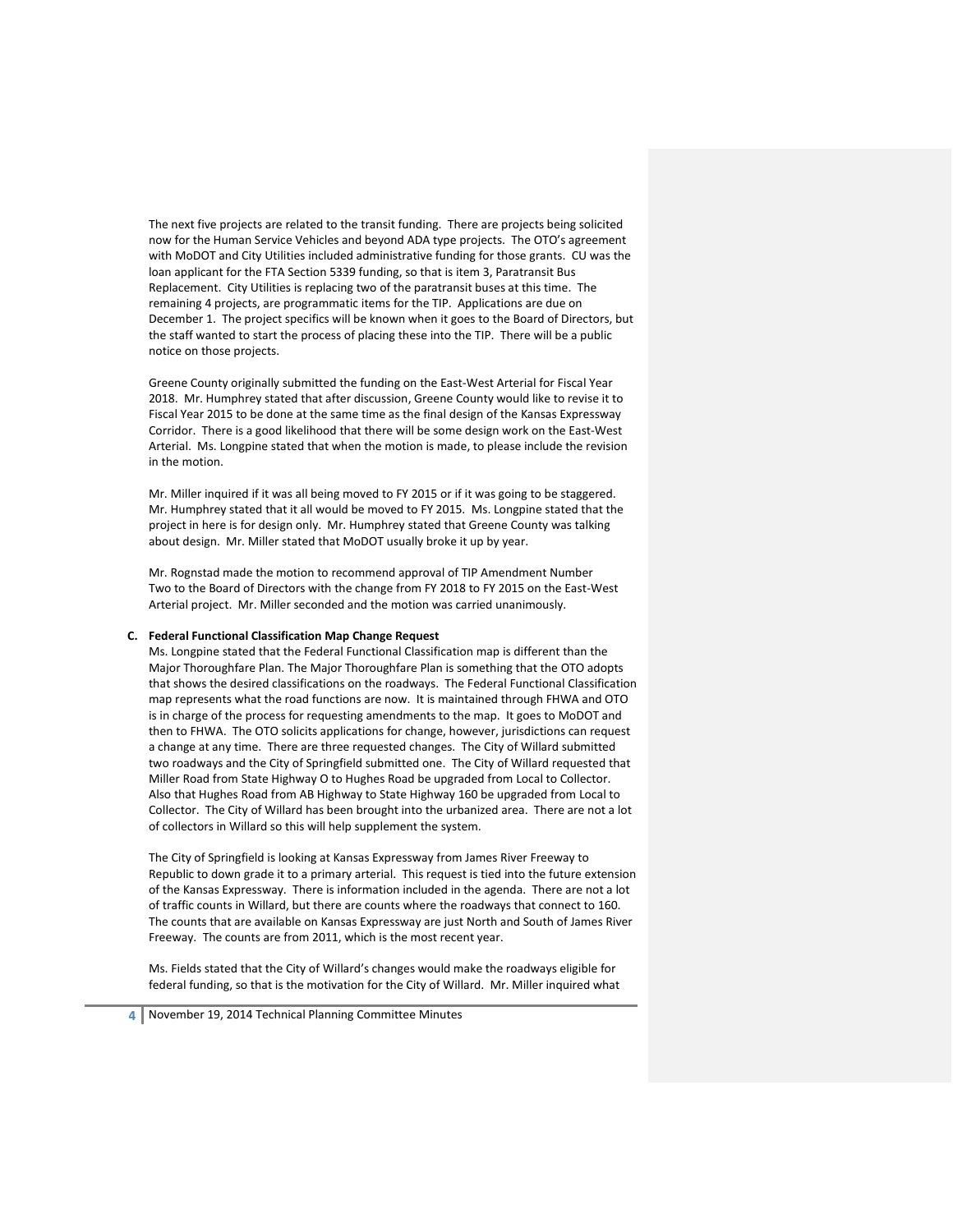The next five projects are related to the transit funding. There are projects being solicited now for the Human Service Vehicles and beyond ADA type projects. The OTO's agreement with MoDOT and City Utilities included administrative funding for those grants. CU was the loan applicant for the FTA Section 5339 funding, so that is item 3, Paratransit Bus Replacement. City Utilities is replacing two of the paratransit buses at this time. The remaining 4 projects, are programmatic items for the TIP. Applications are due on December 1. The project specifics will be known when it goes to the Board of Directors, but the staff wanted to start the process of placing these into the TIP. There will be a public notice on those projects.

Greene County originally submitted the funding on the East-West Arterial for Fiscal Year 2018. Mr. Humphrey stated that after discussion, Greene County would like to revise it to Fiscal Year 2015 to be done at the same time as the final design of the Kansas Expressway Corridor. There is a good likelihood that there will be some design work on the East-West Arterial. Ms. Longpine stated that when the motion is made, to please include the revision in the motion.

Mr. Miller inquired if it was all being moved to FY 2015 or if it was going to be staggered. Mr. Humphrey stated that it all would be moved to FY 2015. Ms. Longpine stated that the project in here is for design only. Mr. Humphrey stated that Greene County was talking about design. Mr. Miller stated that MoDOT usually broke it up by year.

Mr. Rognstad made the motion to recommend approval of TIP Amendment Number Two to the Board of Directors with the change from FY 2018 to FY 2015 on the East-West Arterial project. Mr. Miller seconded and the motion was carried unanimously.

#### **C. Federal Functional Classification Map Change Request**

Ms. Longpine stated that the Federal Functional Classification map is different than the Major Thoroughfare Plan. The Major Thoroughfare Plan is something that the OTO adopts that shows the desired classifications on the roadways. The Federal Functional Classification map represents what the road functions are now. It is maintained through FHWA and OTO is in charge of the process for requesting amendments to the map. It goes to MoDOT and then to FHWA. The OTO solicits applications for change, however, jurisdictions can request a change at any time. There are three requested changes. The City of Willard submitted two roadways and the City of Springfield submitted one. The City of Willard requested that Miller Road from State Highway O to Hughes Road be upgraded from Local to Collector. Also that Hughes Road from AB Highway to State Highway 160 be upgraded from Local to Collector. The City of Willard has been brought into the urbanized area. There are not a lot of collectors in Willard so this will help supplement the system.

The City of Springfield is looking at Kansas Expressway from James River Freeway to Republic to down grade it to a primary arterial. This request is tied into the future extension of the Kansas Expressway. There is information included in the agenda. There are not a lot of traffic counts in Willard, but there are counts where the roadways that connect to 160. The counts that are available on Kansas Expressway are just North and South of James River Freeway. The counts are from 2011, which is the most recent year.

Ms. Fields stated that the City of Willard's changes would make the roadways eligible for federal funding, so that is the motivation for the City of Willard. Mr. Miller inquired what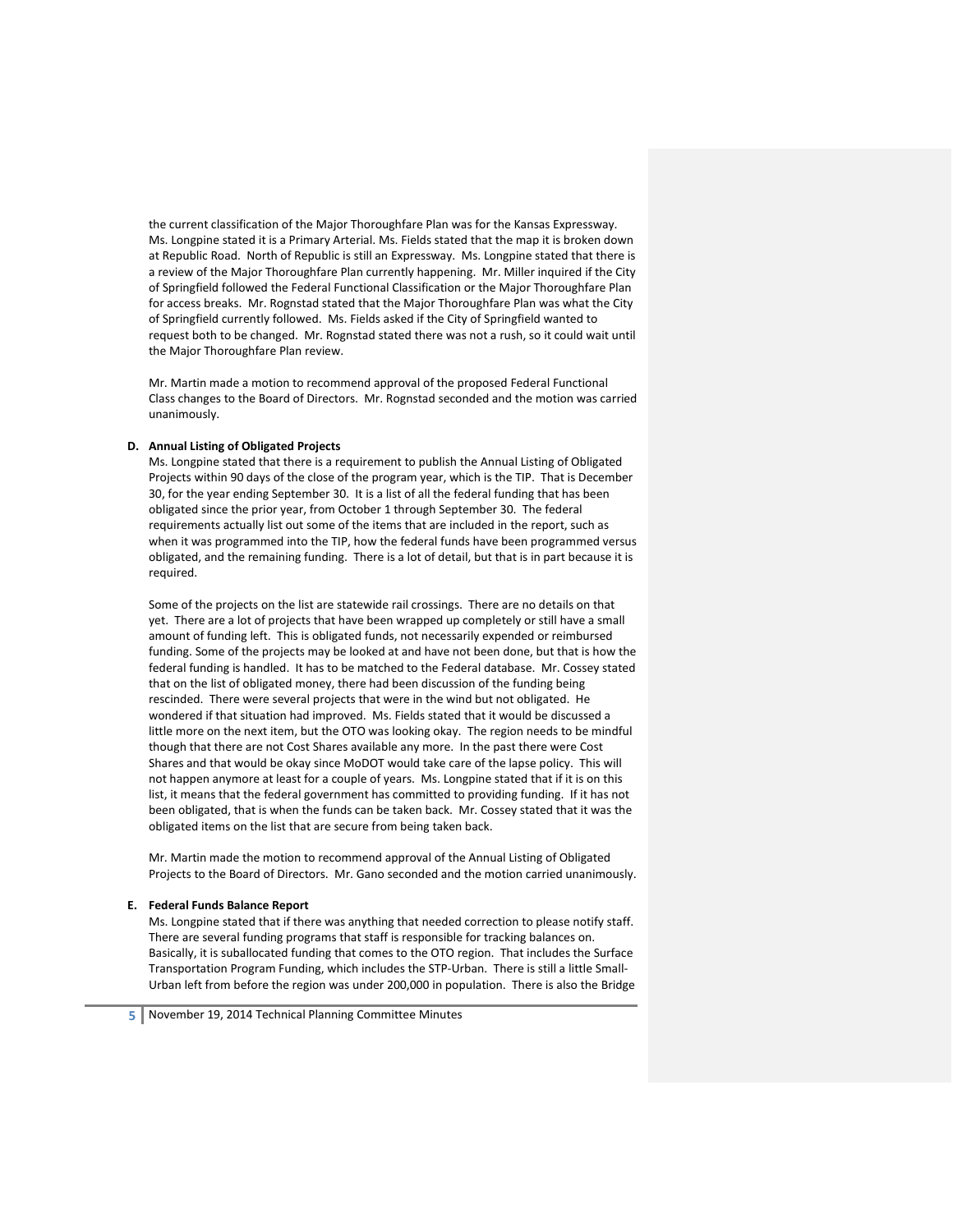the current classification of the Major Thoroughfare Plan was for the Kansas Expressway. Ms. Longpine stated it is a Primary Arterial. Ms. Fields stated that the map it is broken down at Republic Road. North of Republic is still an Expressway. Ms. Longpine stated that there is a review of the Major Thoroughfare Plan currently happening. Mr. Miller inquired if the City of Springfield followed the Federal Functional Classification or the Major Thoroughfare Plan for access breaks. Mr. Rognstad stated that the Major Thoroughfare Plan was what the City of Springfield currently followed. Ms. Fields asked if the City of Springfield wanted to request both to be changed. Mr. Rognstad stated there was not a rush, so it could wait until the Major Thoroughfare Plan review.

Mr. Martin made a motion to recommend approval of the proposed Federal Functional Class changes to the Board of Directors. Mr. Rognstad seconded and the motion was carried unanimously.

## **D. Annual Listing of Obligated Projects**

Ms. Longpine stated that there is a requirement to publish the Annual Listing of Obligated Projects within 90 days of the close of the program year, which is the TIP. That is December 30, for the year ending September 30. It is a list of all the federal funding that has been obligated since the prior year, from October 1 through September 30. The federal requirements actually list out some of the items that are included in the report, such as when it was programmed into the TIP, how the federal funds have been programmed versus obligated, and the remaining funding. There is a lot of detail, but that is in part because it is required.

Some of the projects on the list are statewide rail crossings. There are no details on that yet. There are a lot of projects that have been wrapped up completely or still have a small amount of funding left. This is obligated funds, not necessarily expended or reimbursed funding. Some of the projects may be looked at and have not been done, but that is how the federal funding is handled. It has to be matched to the Federal database. Mr. Cossey stated that on the list of obligated money, there had been discussion of the funding being rescinded. There were several projects that were in the wind but not obligated. He wondered if that situation had improved. Ms. Fields stated that it would be discussed a little more on the next item, but the OTO was looking okay. The region needs to be mindful though that there are not Cost Shares available any more. In the past there were Cost Shares and that would be okay since MoDOT would take care of the lapse policy. This will not happen anymore at least for a couple of years. Ms. Longpine stated that if it is on this list, it means that the federal government has committed to providing funding. If it has not been obligated, that is when the funds can be taken back. Mr. Cossey stated that it was the obligated items on the list that are secure from being taken back.

Mr. Martin made the motion to recommend approval of the Annual Listing of Obligated Projects to the Board of Directors. Mr. Gano seconded and the motion carried unanimously.

#### **E. Federal Funds Balance Report**

Ms. Longpine stated that if there was anything that needed correction to please notify staff. There are several funding programs that staff is responsible for tracking balances on. Basically, it is suballocated funding that comes to the OTO region. That includes the Surface Transportation Program Funding, which includes the STP-Urban. There is still a little Small-Urban left from before the region was under 200,000 in population. There is also the Bridge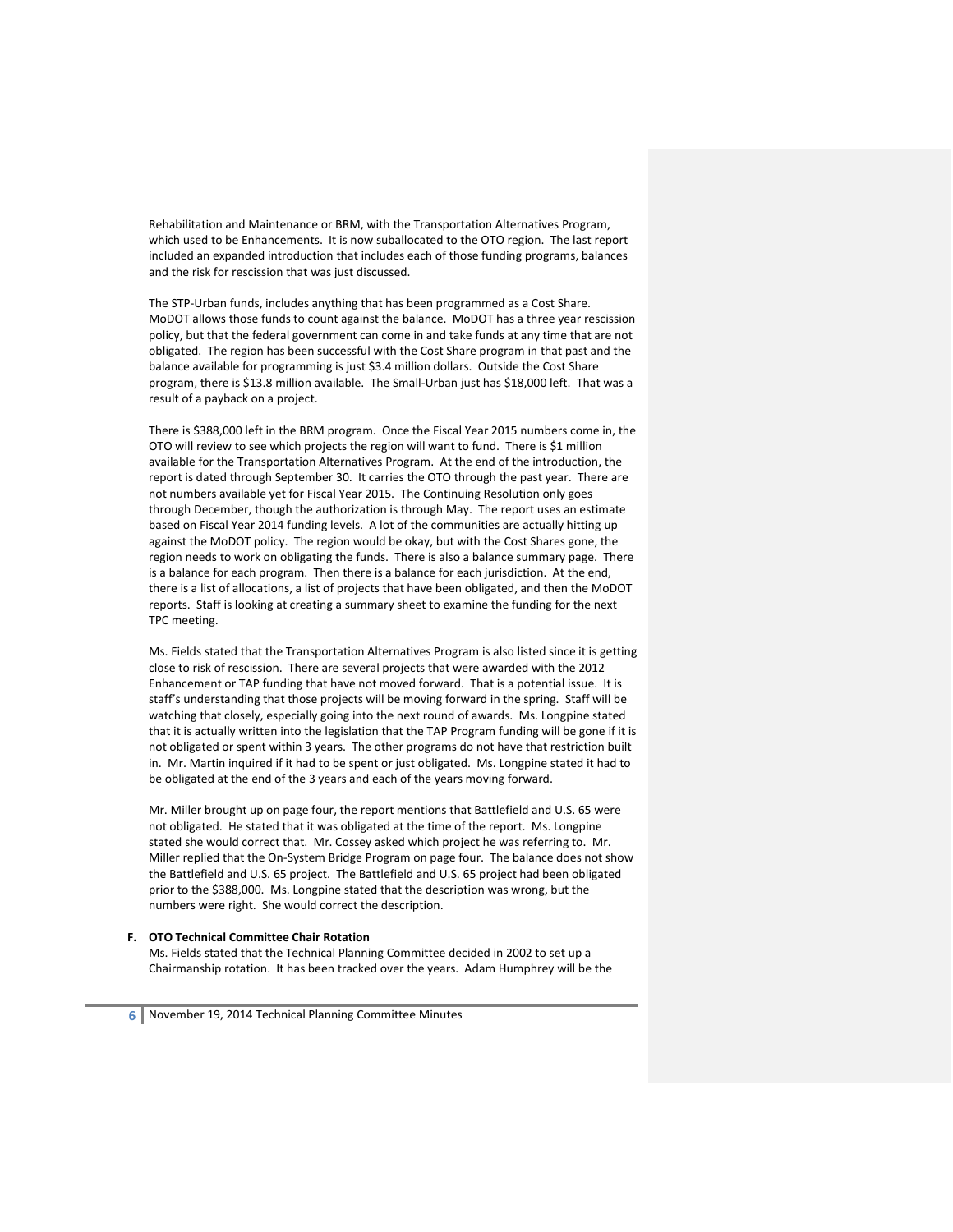Rehabilitation and Maintenance or BRM, with the Transportation Alternatives Program, which used to be Enhancements. It is now suballocated to the OTO region. The last report included an expanded introduction that includes each of those funding programs, balances and the risk for rescission that was just discussed.

The STP-Urban funds, includes anything that has been programmed as a Cost Share. MoDOT allows those funds to count against the balance. MoDOT has a three year rescission policy, but that the federal government can come in and take funds at any time that are not obligated. The region has been successful with the Cost Share program in that past and the balance available for programming is just \$3.4 million dollars. Outside the Cost Share program, there is \$13.8 million available. The Small-Urban just has \$18,000 left. That was a result of a payback on a project.

There is \$388,000 left in the BRM program. Once the Fiscal Year 2015 numbers come in, the OTO will review to see which projects the region will want to fund. There is \$1 million available for the Transportation Alternatives Program. At the end of the introduction, the report is dated through September 30. It carries the OTO through the past year. There are not numbers available yet for Fiscal Year 2015. The Continuing Resolution only goes through December, though the authorization is through May. The report uses an estimate based on Fiscal Year 2014 funding levels. A lot of the communities are actually hitting up against the MoDOT policy. The region would be okay, but with the Cost Shares gone, the region needs to work on obligating the funds. There is also a balance summary page. There is a balance for each program. Then there is a balance for each jurisdiction. At the end, there is a list of allocations, a list of projects that have been obligated, and then the MoDOT reports. Staff is looking at creating a summary sheet to examine the funding for the next TPC meeting.

Ms. Fields stated that the Transportation Alternatives Program is also listed since it is getting close to risk of rescission. There are several projects that were awarded with the 2012 Enhancement or TAP funding that have not moved forward. That is a potential issue. It is staff's understanding that those projects will be moving forward in the spring. Staff will be watching that closely, especially going into the next round of awards. Ms. Longpine stated that it is actually written into the legislation that the TAP Program funding will be gone if it is not obligated or spent within 3 years. The other programs do not have that restriction built in. Mr. Martin inquired if it had to be spent or just obligated. Ms. Longpine stated it had to be obligated at the end of the 3 years and each of the years moving forward.

Mr. Miller brought up on page four, the report mentions that Battlefield and U.S. 65 were not obligated. He stated that it was obligated at the time of the report. Ms. Longpine stated she would correct that. Mr. Cossey asked which project he was referring to. Mr. Miller replied that the On-System Bridge Program on page four. The balance does not show the Battlefield and U.S. 65 project. The Battlefield and U.S. 65 project had been obligated prior to the \$388,000. Ms. Longpine stated that the description was wrong, but the numbers were right. She would correct the description.

## **F. OTO Technical Committee Chair Rotation**

Ms. Fields stated that the Technical Planning Committee decided in 2002 to set up a Chairmanship rotation. It has been tracked over the years. Adam Humphrey will be the